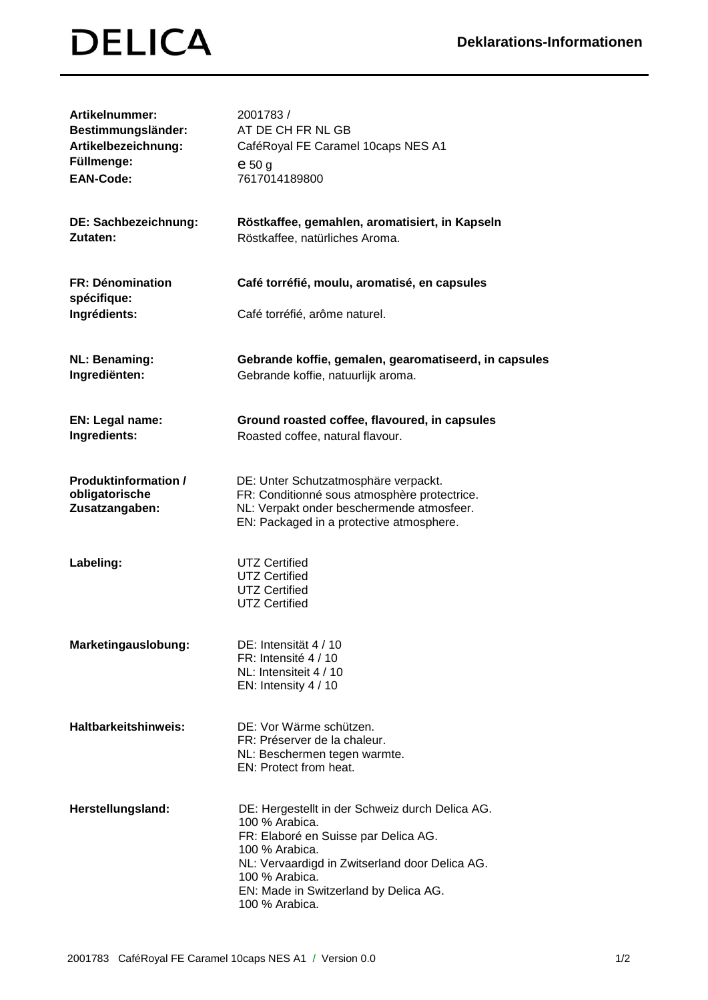| <b>Artikelnummer:</b><br>Bestimmungsländer:<br>Artikelbezeichnung:<br>Füllmenge:<br><b>EAN-Code:</b> | 2001783/<br>AT DE CH FR NL GB<br>CaféRoyal FE Caramel 10caps NES A1<br>$e_{50}$ g<br>7617014189800                                                                                                                                                         |
|------------------------------------------------------------------------------------------------------|------------------------------------------------------------------------------------------------------------------------------------------------------------------------------------------------------------------------------------------------------------|
| DE: Sachbezeichnung:<br>Zutaten:                                                                     | Röstkaffee, gemahlen, aromatisiert, in Kapseln<br>Röstkaffee, natürliches Aroma.                                                                                                                                                                           |
| <b>FR: Dénomination</b><br>spécifique:<br>Ingrédients:                                               | Café torréfié, moulu, aromatisé, en capsules<br>Café torréfié, arôme naturel.                                                                                                                                                                              |
| <b>NL: Benaming:</b><br>Ingrediënten:                                                                | Gebrande koffie, gemalen, gearomatiseerd, in capsules<br>Gebrande koffie, natuurlijk aroma.                                                                                                                                                                |
| EN: Legal name:<br>Ingredients:                                                                      | Ground roasted coffee, flavoured, in capsules<br>Roasted coffee, natural flavour.                                                                                                                                                                          |
| <b>Produktinformation /</b><br>obligatorische<br>Zusatzangaben:                                      | DE: Unter Schutzatmosphäre verpackt.<br>FR: Conditionné sous atmosphère protectrice.<br>NL: Verpakt onder beschermende atmosfeer.<br>EN: Packaged in a protective atmosphere.                                                                              |
| Labeling:                                                                                            | <b>UTZ Certified</b><br><b>UTZ Certified</b><br><b>UTZ Certified</b><br><b>UTZ Certified</b>                                                                                                                                                               |
| Marketingauslobung:                                                                                  | DE: Intensität 4 / 10<br>FR: Intensité 4 / 10<br>NL: Intensiteit 4 / 10<br>EN: Intensity 4 / 10                                                                                                                                                            |
| Haltbarkeitshinweis:                                                                                 | DE: Vor Wärme schützen.<br>FR: Préserver de la chaleur.<br>NL: Beschermen tegen warmte.<br>EN: Protect from heat.                                                                                                                                          |
| Herstellungsland:                                                                                    | DE: Hergestellt in der Schweiz durch Delica AG.<br>100 % Arabica.<br>FR: Elaboré en Suisse par Delica AG.<br>100 % Arabica.<br>NL: Vervaardigd in Zwitserland door Delica AG.<br>100 % Arabica.<br>EN: Made in Switzerland by Delica AG.<br>100 % Arabica. |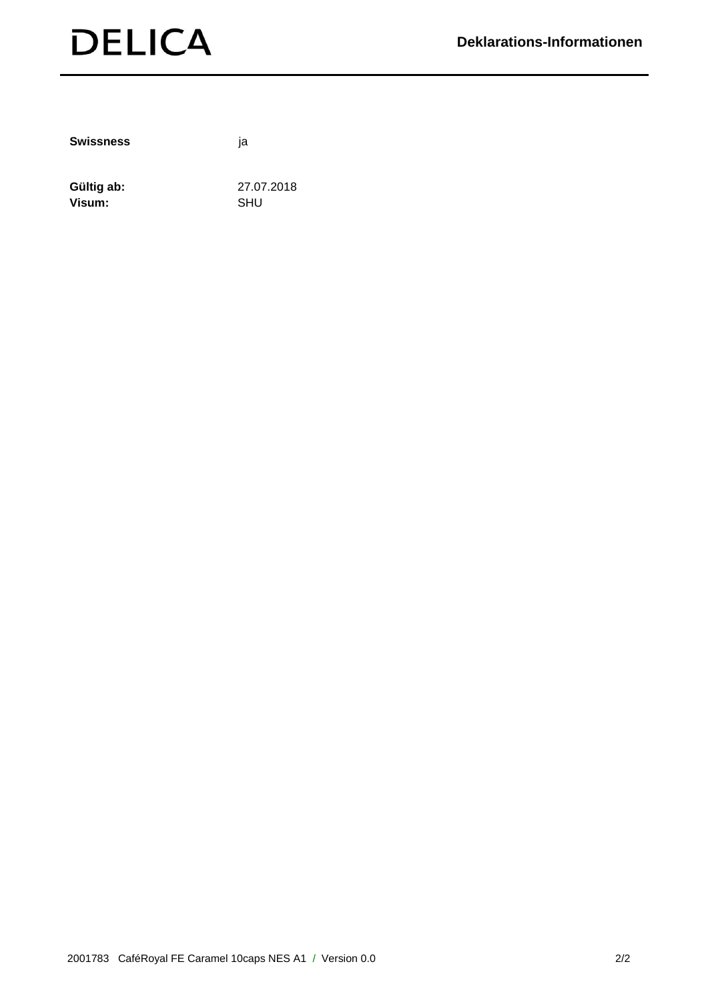

**Swissness** ja

Gültig ab: 27.07.2018 Visum: SHU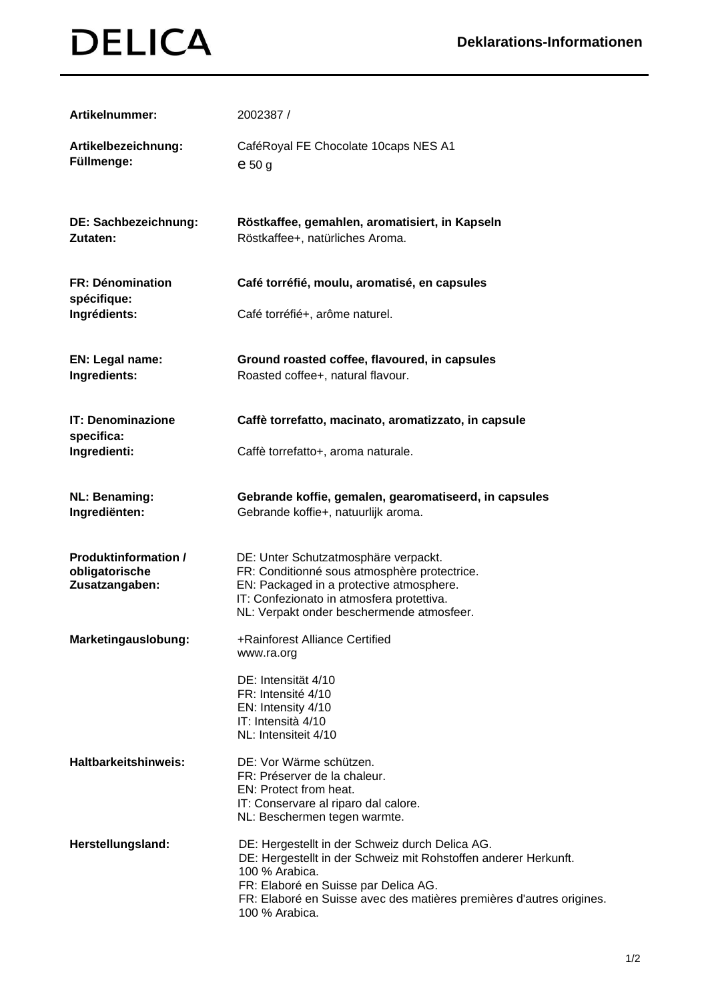| Artikelnummer:                                                  | 2002387/                                                                                                                                                                                                                                                               |
|-----------------------------------------------------------------|------------------------------------------------------------------------------------------------------------------------------------------------------------------------------------------------------------------------------------------------------------------------|
| Artikelbezeichnung:<br>Füllmenge:                               | CaféRoyal FE Chocolate 10caps NES A1<br>$e_{50}$ g                                                                                                                                                                                                                     |
| DE: Sachbezeichnung:<br>Zutaten:                                | Röstkaffee, gemahlen, aromatisiert, in Kapseln<br>Röstkaffee+, natürliches Aroma.                                                                                                                                                                                      |
| <b>FR: Dénomination</b><br>spécifique:<br>Ingrédients:          | Café torréfié, moulu, aromatisé, en capsules<br>Café torréfié+, arôme naturel.                                                                                                                                                                                         |
| EN: Legal name:<br>Ingredients:                                 | Ground roasted coffee, flavoured, in capsules<br>Roasted coffee+, natural flavour.                                                                                                                                                                                     |
| <b>IT: Denominazione</b><br>specifica:<br>Ingredienti:          | Caffè torrefatto, macinato, aromatizzato, in capsule<br>Caffè torrefatto+, aroma naturale.                                                                                                                                                                             |
| <b>NL: Benaming:</b><br>Ingrediënten:                           | Gebrande koffie, gemalen, gearomatiseerd, in capsules<br>Gebrande koffie+, natuurlijk aroma.                                                                                                                                                                           |
| <b>Produktinformation /</b><br>obligatorische<br>Zusatzangaben: | DE: Unter Schutzatmosphäre verpackt.<br>FR: Conditionné sous atmosphère protectrice.<br>EN: Packaged in a protective atmosphere.<br>IT: Confezionato in atmosfera protettiva.<br>NL: Verpakt onder beschermende atmosfeer.                                             |
| Marketingauslobung:                                             | +Rainforest Alliance Certified<br>www.ra.org<br>DE: Intensität 4/10                                                                                                                                                                                                    |
|                                                                 | FR: Intensité 4/10<br>EN: Intensity 4/10<br>IT: Intensità 4/10<br>NL: Intensiteit 4/10                                                                                                                                                                                 |
| <b>Haltbarkeitshinweis:</b>                                     | DE: Vor Wärme schützen.<br>FR: Préserver de la chaleur.<br>EN: Protect from heat.<br>IT: Conservare al riparo dal calore.<br>NL: Beschermen tegen warmte.                                                                                                              |
| Herstellungsland:                                               | DE: Hergestellt in der Schweiz durch Delica AG.<br>DE: Hergestellt in der Schweiz mit Rohstoffen anderer Herkunft.<br>100 % Arabica.<br>FR: Elaboré en Suisse par Delica AG.<br>FR: Elaboré en Suisse avec des matières premières d'autres origines.<br>100 % Arabica. |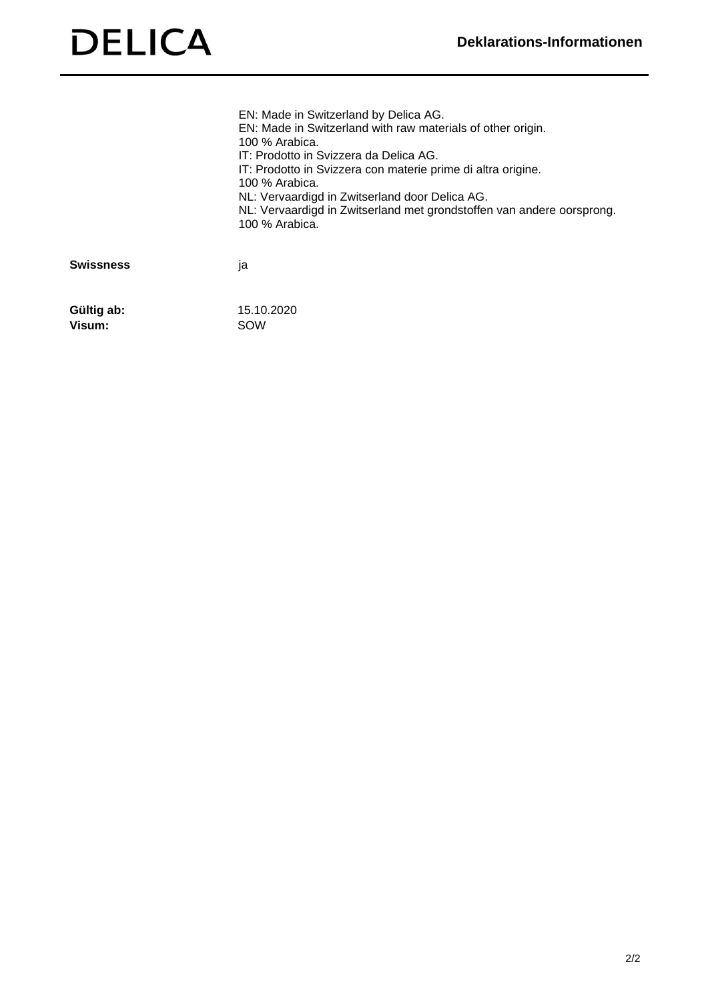|                  | EN: Made in Switzerland by Delica AG.<br>EN: Made in Switzerland with raw materials of other origin.<br>100 % Arabica.<br>IT: Prodotto in Svizzera da Delica AG.<br>IT: Prodotto in Svizzera con materie prime di altra origine.<br>100 % Arabica.<br>NL: Vervaardigd in Zwitserland door Delica AG.<br>NL: Vervaardigd in Zwitserland met grondstoffen van andere oorsprong.<br>100 % Arabica. |
|------------------|-------------------------------------------------------------------------------------------------------------------------------------------------------------------------------------------------------------------------------------------------------------------------------------------------------------------------------------------------------------------------------------------------|
| <b>Swissness</b> | ١a                                                                                                                                                                                                                                                                                                                                                                                              |
| Gültig ab:       | 15.10.2020                                                                                                                                                                                                                                                                                                                                                                                      |

**Visum:** SOW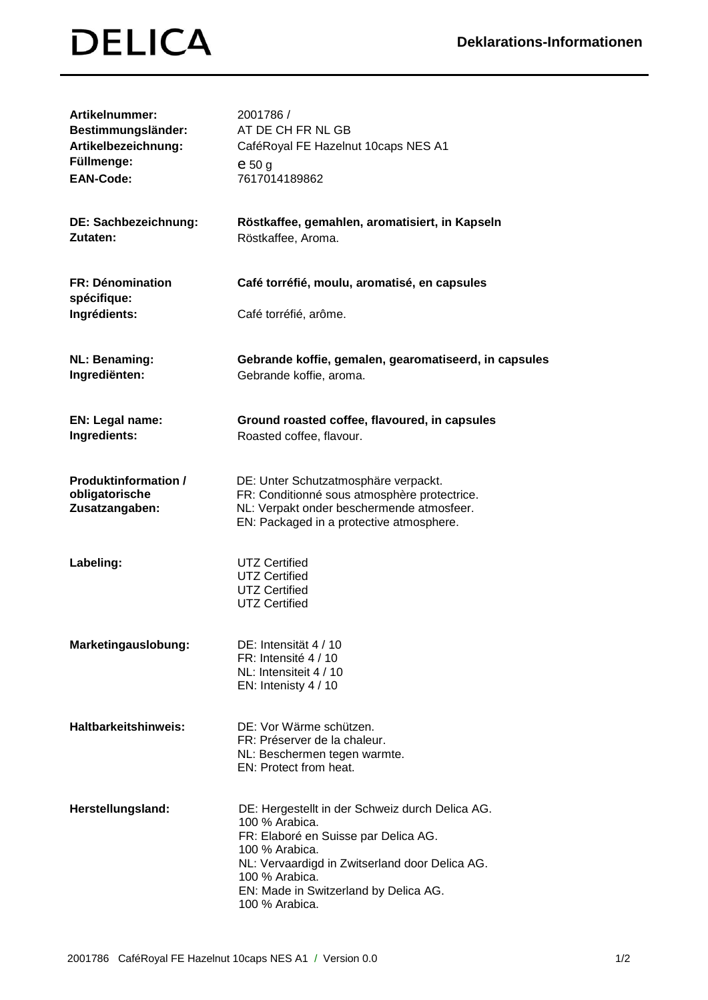| <b>Artikelnummer:</b><br>Bestimmungsländer:<br>Artikelbezeichnung:<br>Füllmenge:<br><b>EAN-Code:</b> | 2001786 /<br>AT DE CH FR NL GB<br>CaféRoyal FE Hazelnut 10caps NES A1<br>$e_{50}$ g<br>7617014189862                                                                                                                                                       |
|------------------------------------------------------------------------------------------------------|------------------------------------------------------------------------------------------------------------------------------------------------------------------------------------------------------------------------------------------------------------|
| DE: Sachbezeichnung:<br>Zutaten:                                                                     | Röstkaffee, gemahlen, aromatisiert, in Kapseln<br>Röstkaffee, Aroma.                                                                                                                                                                                       |
| <b>FR: Dénomination</b><br>spécifique:<br>Ingrédients:                                               | Café torréfié, moulu, aromatisé, en capsules<br>Café torréfié, arôme.                                                                                                                                                                                      |
| <b>NL: Benaming:</b><br>Ingrediënten:                                                                | Gebrande koffie, gemalen, gearomatiseerd, in capsules<br>Gebrande koffie, aroma.                                                                                                                                                                           |
| EN: Legal name:<br>Ingredients:                                                                      | Ground roasted coffee, flavoured, in capsules<br>Roasted coffee, flavour.                                                                                                                                                                                  |
| <b>Produktinformation /</b><br>obligatorische<br>Zusatzangaben:                                      | DE: Unter Schutzatmosphäre verpackt.<br>FR: Conditionné sous atmosphère protectrice.<br>NL: Verpakt onder beschermende atmosfeer.<br>EN: Packaged in a protective atmosphere.                                                                              |
| Labeling:                                                                                            | <b>UTZ Certified</b><br><b>UTZ Certified</b><br><b>UTZ Certified</b><br><b>UTZ Certified</b>                                                                                                                                                               |
| Marketingauslobung:                                                                                  | DE: Intensität 4 / 10<br>FR: Intensité 4 / 10<br>NL: Intensiteit 4 / 10<br>EN: Intenisty 4 / 10                                                                                                                                                            |
| <b>Haltbarkeitshinweis:</b>                                                                          | DE: Vor Wärme schützen.<br>FR: Préserver de la chaleur.<br>NL: Beschermen tegen warmte.<br>EN: Protect from heat.                                                                                                                                          |
| Herstellungsland:                                                                                    | DE: Hergestellt in der Schweiz durch Delica AG.<br>100 % Arabica.<br>FR: Elaboré en Suisse par Delica AG.<br>100 % Arabica.<br>NL: Vervaardigd in Zwitserland door Delica AG.<br>100 % Arabica.<br>EN: Made in Switzerland by Delica AG.<br>100 % Arabica. |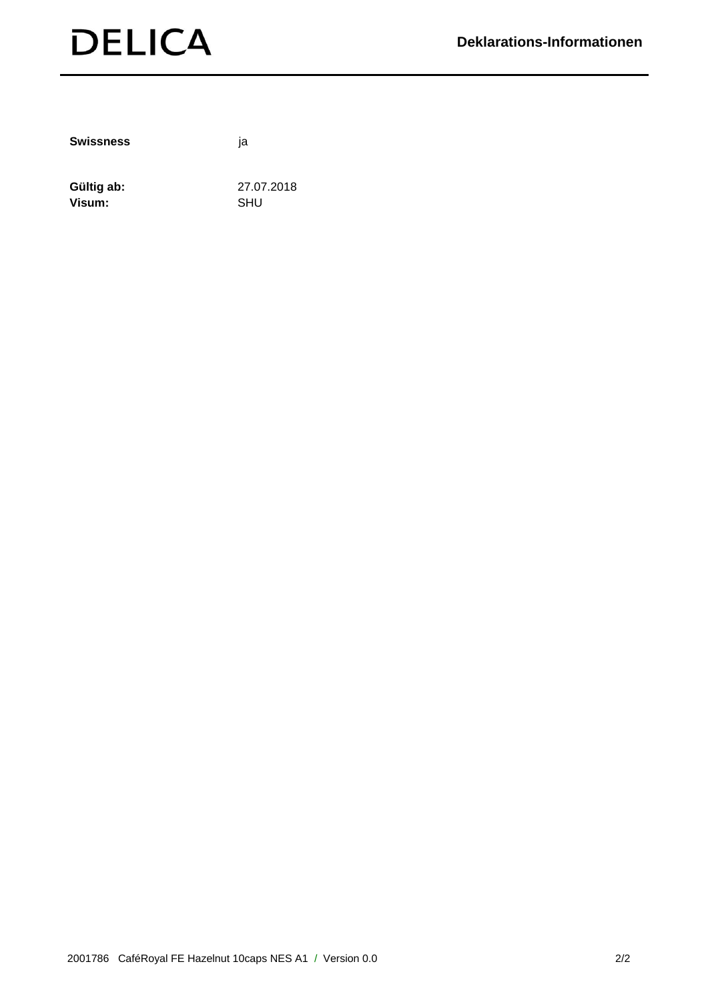

**Swissness** ja

Gültig ab: 27.07.2018 Visum: SHU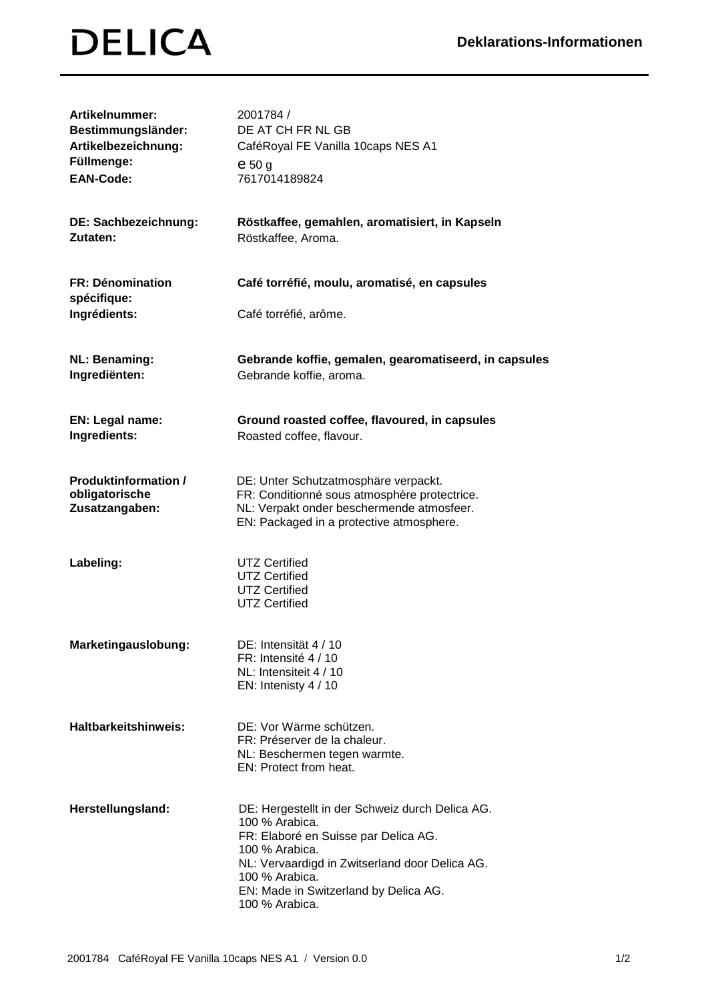| <b>Artikelnummer:</b><br>Bestimmungsländer:<br>Artikelbezeichnung:<br>Füllmenge:<br><b>EAN-Code:</b> | 2001784 /<br>DE AT CH FR NL GB<br>CaféRoyal FE Vanilla 10caps NES A1<br>$e_{50}$ g<br>7617014189824                                                                                                                                                        |
|------------------------------------------------------------------------------------------------------|------------------------------------------------------------------------------------------------------------------------------------------------------------------------------------------------------------------------------------------------------------|
| DE: Sachbezeichnung:<br>Zutaten:                                                                     | Röstkaffee, gemahlen, aromatisiert, in Kapseln<br>Röstkaffee, Aroma.                                                                                                                                                                                       |
| <b>FR: Dénomination</b><br>spécifique:<br>Ingrédients:                                               | Café torréfié, moulu, aromatisé, en capsules<br>Café torréfié, arôme.                                                                                                                                                                                      |
| <b>NL: Benaming:</b><br>Ingrediënten:                                                                | Gebrande koffie, gemalen, gearomatiseerd, in capsules<br>Gebrande koffie, aroma.                                                                                                                                                                           |
| EN: Legal name:<br>Ingredients:                                                                      | Ground roasted coffee, flavoured, in capsules<br>Roasted coffee, flavour.                                                                                                                                                                                  |
| <b>Produktinformation /</b><br>obligatorische<br>Zusatzangaben:                                      | DE: Unter Schutzatmosphäre verpackt.<br>FR: Conditionné sous atmosphère protectrice.<br>NL: Verpakt onder beschermende atmosfeer.<br>EN: Packaged in a protective atmosphere.                                                                              |
| Labeling:                                                                                            | <b>UTZ Certified</b><br><b>UTZ Certified</b><br><b>UTZ Certified</b><br><b>UTZ Certified</b>                                                                                                                                                               |
| Marketingauslobung:                                                                                  | DE: Intensität 4 / 10<br>FR: Intensité 4 / 10<br>NL: Intensiteit 4 / 10<br>EN: Intenisty 4 / 10                                                                                                                                                            |
| <b>Haltbarkeitshinweis:</b>                                                                          | DE: Vor Wärme schützen.<br>FR: Préserver de la chaleur.<br>NL: Beschermen tegen warmte.<br>EN: Protect from heat.                                                                                                                                          |
| Herstellungsland:                                                                                    | DE: Hergestellt in der Schweiz durch Delica AG.<br>100 % Arabica.<br>FR: Elaboré en Suisse par Delica AG.<br>100 % Arabica.<br>NL: Vervaardigd in Zwitserland door Delica AG.<br>100 % Arabica.<br>EN: Made in Switzerland by Delica AG.<br>100 % Arabica. |